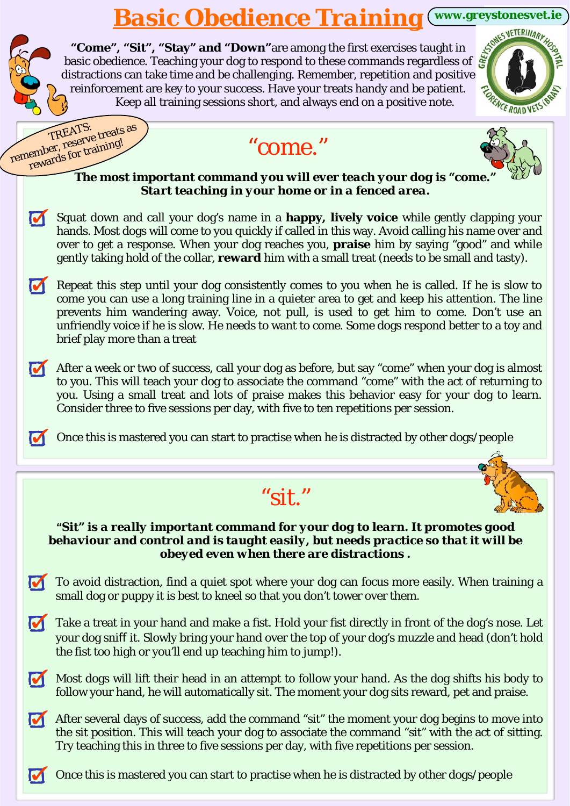## *Basic Obedience Training* **[www.greystonesvet.ie](http://www.greystonesvet.ie)**

|   | basic obedience. Teaching your dog to respond to these commands regardless of $\frac{1}{5}$<br>distractions can take time and be challenging. Remember, repetition and respectively.<br>distractions can take time and be challenging. Remember, repetition and positive<br>reinforcement are key to your success. Have your treats handy and be patient.<br>Keep all training sessions short, and always end on a positive note.<br><b>CEROADV</b> |  |
|---|-----------------------------------------------------------------------------------------------------------------------------------------------------------------------------------------------------------------------------------------------------------------------------------------------------------------------------------------------------------------------------------------------------------------------------------------------------|--|
|   | remember, reserve treats as<br>"come."                                                                                                                                                                                                                                                                                                                                                                                                              |  |
|   | rewards for training!<br>The most important command you will ever teach your dog is "come.<br>Start teaching in your home or in a fenced area.                                                                                                                                                                                                                                                                                                      |  |
| M | Squat down and call your dog's name in a happy, lively voice while gently clapping your<br>hands. Most dogs will come to you quickly if called in this way. Avoid calling his name over and<br>over to get a response. When your dog reaches you, praise him by saying "good" and while<br>gently taking hold of the collar, reward him with a small treat (needs to be small and tasty).                                                           |  |
|   | Repeat this step until your dog consistently comes to you when he is called. If he is slow to<br>come you can use a long training line in a quieter area to get and keep his attention. The line<br>prevents him wandering away. Voice, not pull, is used to get him to come. Don't use an<br>unfriendly voice if he is slow. He needs to want to come. Some dogs respond better to a toy and<br>brief play more than a treat                       |  |
| M | After a week or two of success, call your dog as before, but say "come" when your dog is almost<br>to you. This will teach your dog to associate the command "come" with the act of returning to<br>you. Using a small treat and lots of praise makes this behavior easy for your dog to learn.<br>Consider three to five sessions per day, with five to ten repetitions per session.                                                               |  |
|   |                                                                                                                                                                                                                                                                                                                                                                                                                                                     |  |
|   | Once this is mastered you can start to practise when he is distracted by other dogs/people                                                                                                                                                                                                                                                                                                                                                          |  |
|   |                                                                                                                                                                                                                                                                                                                                                                                                                                                     |  |
|   | " $S$ it."                                                                                                                                                                                                                                                                                                                                                                                                                                          |  |
|   | "Sit" is a really important command for your dog to learn. It promotes good<br>behaviour and control and is taught easily, but needs practice so that it will be<br>obeyed even when there are distractions.                                                                                                                                                                                                                                        |  |
|   | To avoid distraction, find a quiet spot where your dog can focus more easily. When training a<br>small dog or puppy it is best to kneel so that you don't tower over them.                                                                                                                                                                                                                                                                          |  |
|   | Take a treat in your hand and make a fist. Hold your fist directly in front of the dog's nose. Let<br>your dog sniff it. Slowly bring your hand over the top of your dog's muzzle and head (don't hold<br>the fist too high or you'll end up teaching him to jump!).                                                                                                                                                                                |  |
|   | Most dogs will lift their head in an attempt to follow your hand. As the dog shifts his body to<br>follow your hand, he will automatically sit. The moment your dog sits reward, pet and praise.                                                                                                                                                                                                                                                    |  |
|   | After several days of success, add the command "sit" the moment your dog begins to move into<br>the sit position. This will teach your dog to associate the command "sit" with the act of sitting.<br>Try teaching this in three to five sessions per day, with five repetitions per session.                                                                                                                                                       |  |